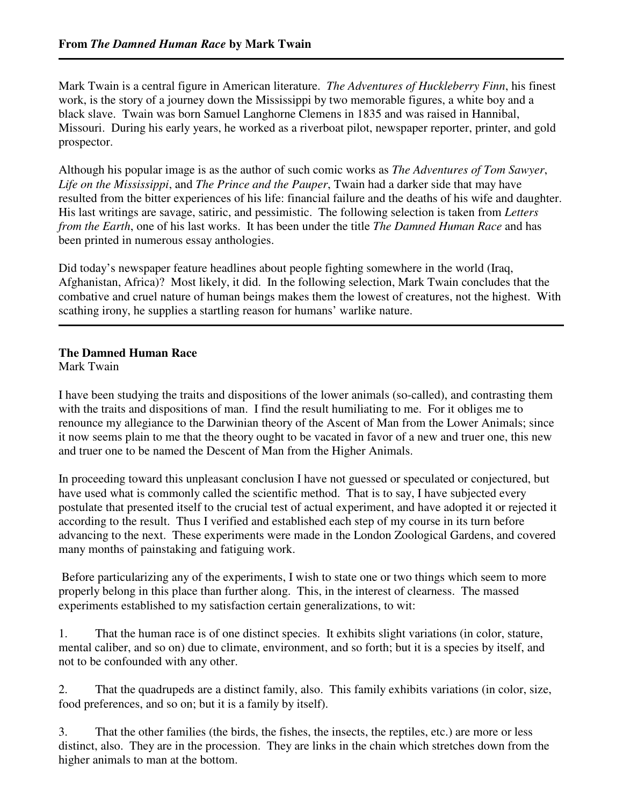Mark Twain is a central figure in American literature. *The Adventures of Huckleberry Finn*, his finest work, is the story of a journey down the Mississippi by two memorable figures, a white boy and a black slave. Twain was born Samuel Langhorne Clemens in 1835 and was raised in Hannibal, Missouri. During his early years, he worked as a riverboat pilot, newspaper reporter, printer, and gold prospector.

Although his popular image is as the author of such comic works as *The Adventures of Tom Sawyer*, *Life on the Mississippi*, and *The Prince and the Pauper*, Twain had a darker side that may have resulted from the bitter experiences of his life: financial failure and the deaths of his wife and daughter. His last writings are savage, satiric, and pessimistic. The following selection is taken from *Letters from the Earth*, one of his last works. It has been under the title *The Damned Human Race* and has been printed in numerous essay anthologies.

Did today's newspaper feature headlines about people fighting somewhere in the world (Iraq, Afghanistan, Africa)? Most likely, it did. In the following selection, Mark Twain concludes that the combative and cruel nature of human beings makes them the lowest of creatures, not the highest. With scathing irony, he supplies a startling reason for humans' warlike nature.

## **The Damned Human Race**

Mark Twain

I have been studying the traits and dispositions of the lower animals (so-called), and contrasting them with the traits and dispositions of man. I find the result humiliating to me. For it obliges me to renounce my allegiance to the Darwinian theory of the Ascent of Man from the Lower Animals; since it now seems plain to me that the theory ought to be vacated in favor of a new and truer one, this new and truer one to be named the Descent of Man from the Higher Animals.

In proceeding toward this unpleasant conclusion I have not guessed or speculated or conjectured, but have used what is commonly called the scientific method. That is to say, I have subjected every postulate that presented itself to the crucial test of actual experiment, and have adopted it or rejected it according to the result. Thus I verified and established each step of my course in its turn before advancing to the next. These experiments were made in the London Zoological Gardens, and covered many months of painstaking and fatiguing work.

Before particularizing any of the experiments, I wish to state one or two things which seem to more properly belong in this place than further along. This, in the interest of clearness. The massed experiments established to my satisfaction certain generalizations, to wit:

1. That the human race is of one distinct species. It exhibits slight variations (in color, stature, mental caliber, and so on) due to climate, environment, and so forth; but it is a species by itself, and not to be confounded with any other.

2. That the quadrupeds are a distinct family, also. This family exhibits variations (in color, size, food preferences, and so on; but it is a family by itself).

3. That the other families (the birds, the fishes, the insects, the reptiles, etc.) are more or less distinct, also. They are in the procession. They are links in the chain which stretches down from the higher animals to man at the bottom.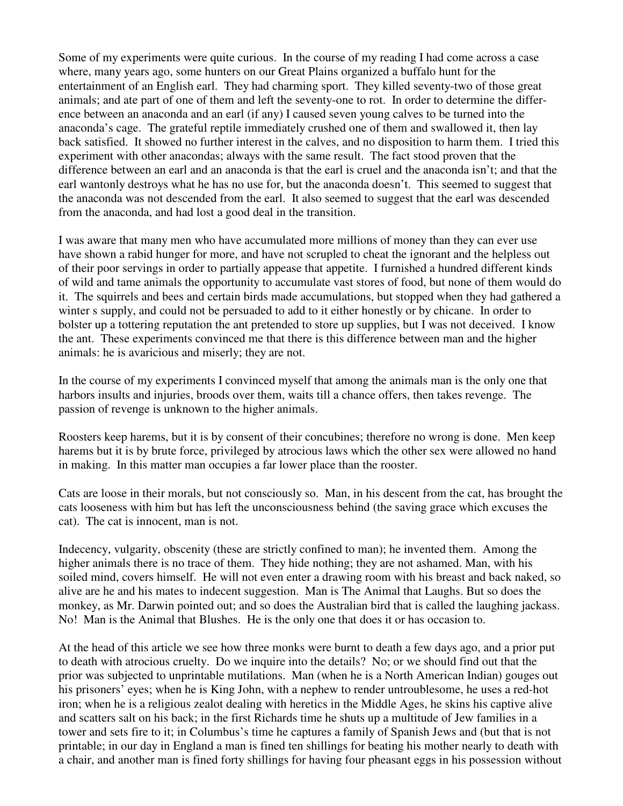Some of my experiments were quite curious. In the course of my reading I had come across a case where, many years ago, some hunters on our Great Plains organized a buffalo hunt for the entertainment of an English earl. They had charming sport. They killed seventy-two of those great animals; and ate part of one of them and left the seventy-one to rot. In order to determine the difference between an anaconda and an earl (if any) I caused seven young calves to be turned into the anaconda's cage. The grateful reptile immediately crushed one of them and swallowed it, then lay back satisfied. It showed no further interest in the calves, and no disposition to harm them. I tried this experiment with other anacondas; always with the same result. The fact stood proven that the difference between an earl and an anaconda is that the earl is cruel and the anaconda isn't; and that the earl wantonly destroys what he has no use for, but the anaconda doesn't. This seemed to suggest that the anaconda was not descended from the earl. It also seemed to suggest that the earl was descended from the anaconda, and had lost a good deal in the transition.

I was aware that many men who have accumulated more millions of money than they can ever use have shown a rabid hunger for more, and have not scrupled to cheat the ignorant and the helpless out of their poor servings in order to partially appease that appetite. I furnished a hundred different kinds of wild and tame animals the opportunity to accumulate vast stores of food, but none of them would do it. The squirrels and bees and certain birds made accumulations, but stopped when they had gathered a winter s supply, and could not be persuaded to add to it either honestly or by chicane. In order to bolster up a tottering reputation the ant pretended to store up supplies, but I was not deceived. I know the ant. These experiments convinced me that there is this difference between man and the higher animals: he is avaricious and miserly; they are not.

In the course of my experiments I convinced myself that among the animals man is the only one that harbors insults and injuries, broods over them, waits till a chance offers, then takes revenge. The passion of revenge is unknown to the higher animals.

Roosters keep harems, but it is by consent of their concubines; therefore no wrong is done. Men keep harems but it is by brute force, privileged by atrocious laws which the other sex were allowed no hand in making. In this matter man occupies a far lower place than the rooster.

Cats are loose in their morals, but not consciously so. Man, in his descent from the cat, has brought the cats looseness with him but has left the unconsciousness behind (the saving grace which excuses the cat). The cat is innocent, man is not.

Indecency, vulgarity, obscenity (these are strictly confined to man); he invented them. Among the higher animals there is no trace of them. They hide nothing; they are not ashamed. Man, with his soiled mind, covers himself. He will not even enter a drawing room with his breast and back naked, so alive are he and his mates to indecent suggestion. Man is The Animal that Laughs. But so does the monkey, as Mr. Darwin pointed out; and so does the Australian bird that is called the laughing jackass. No! Man is the Animal that Blushes. He is the only one that does it or has occasion to.

At the head of this article we see how three monks were burnt to death a few days ago, and a prior put to death with atrocious cruelty. Do we inquire into the details? No; or we should find out that the prior was subjected to unprintable mutilations. Man (when he is a North American Indian) gouges out his prisoners' eyes; when he is King John, with a nephew to render untroublesome, he uses a red-hot iron; when he is a religious zealot dealing with heretics in the Middle Ages, he skins his captive alive and scatters salt on his back; in the first Richards time he shuts up a multitude of Jew families in a tower and sets fire to it; in Columbus's time he captures a family of Spanish Jews and (but that is not printable; in our day in England a man is fined ten shillings for beating his mother nearly to death with a chair, and another man is fined forty shillings for having four pheasant eggs in his possession without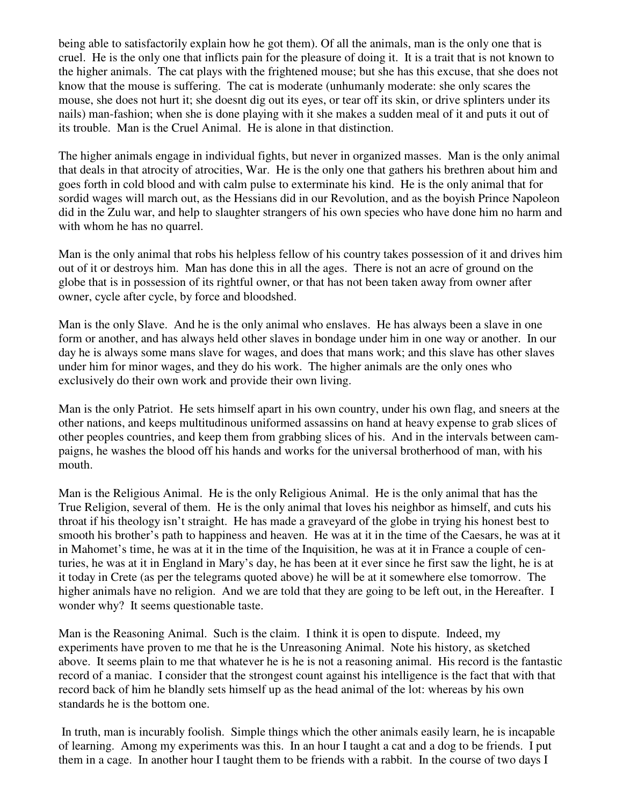being able to satisfactorily explain how he got them). Of all the animals, man is the only one that is cruel. He is the only one that inflicts pain for the pleasure of doing it. It is a trait that is not known to the higher animals. The cat plays with the frightened mouse; but she has this excuse, that she does not know that the mouse is suffering. The cat is moderate (unhumanly moderate: she only scares the mouse, she does not hurt it; she doesnt dig out its eyes, or tear off its skin, or drive splinters under its nails) man-fashion; when she is done playing with it she makes a sudden meal of it and puts it out of its trouble. Man is the Cruel Animal. He is alone in that distinction.

The higher animals engage in individual fights, but never in organized masses. Man is the only animal that deals in that atrocity of atrocities, War. He is the only one that gathers his brethren about him and goes forth in cold blood and with calm pulse to exterminate his kind. He is the only animal that for sordid wages will march out, as the Hessians did in our Revolution, and as the boyish Prince Napoleon did in the Zulu war, and help to slaughter strangers of his own species who have done him no harm and with whom he has no quarrel.

Man is the only animal that robs his helpless fellow of his country takes possession of it and drives him out of it or destroys him. Man has done this in all the ages. There is not an acre of ground on the globe that is in possession of its rightful owner, or that has not been taken away from owner after owner, cycle after cycle, by force and bloodshed.

Man is the only Slave. And he is the only animal who enslaves. He has always been a slave in one form or another, and has always held other slaves in bondage under him in one way or another. In our day he is always some mans slave for wages, and does that mans work; and this slave has other slaves under him for minor wages, and they do his work. The higher animals are the only ones who exclusively do their own work and provide their own living.

Man is the only Patriot. He sets himself apart in his own country, under his own flag, and sneers at the other nations, and keeps multitudinous uniformed assassins on hand at heavy expense to grab slices of other peoples countries, and keep them from grabbing slices of his. And in the intervals between campaigns, he washes the blood off his hands and works for the universal brotherhood of man, with his mouth.

Man is the Religious Animal. He is the only Religious Animal. He is the only animal that has the True Religion, several of them. He is the only animal that loves his neighbor as himself, and cuts his throat if his theology isn't straight. He has made a graveyard of the globe in trying his honest best to smooth his brother's path to happiness and heaven. He was at it in the time of the Caesars, he was at it in Mahomet's time, he was at it in the time of the Inquisition, he was at it in France a couple of centuries, he was at it in England in Mary's day, he has been at it ever since he first saw the light, he is at it today in Crete (as per the telegrams quoted above) he will be at it somewhere else tomorrow. The higher animals have no religion. And we are told that they are going to be left out, in the Hereafter. I wonder why? It seems questionable taste.

Man is the Reasoning Animal. Such is the claim. I think it is open to dispute. Indeed, my experiments have proven to me that he is the Unreasoning Animal. Note his history, as sketched above. It seems plain to me that whatever he is he is not a reasoning animal. His record is the fantastic record of a maniac. I consider that the strongest count against his intelligence is the fact that with that record back of him he blandly sets himself up as the head animal of the lot: whereas by his own standards he is the bottom one.

In truth, man is incurably foolish. Simple things which the other animals easily learn, he is incapable of learning. Among my experiments was this. In an hour I taught a cat and a dog to be friends. I put them in a cage. In another hour I taught them to be friends with a rabbit. In the course of two days I